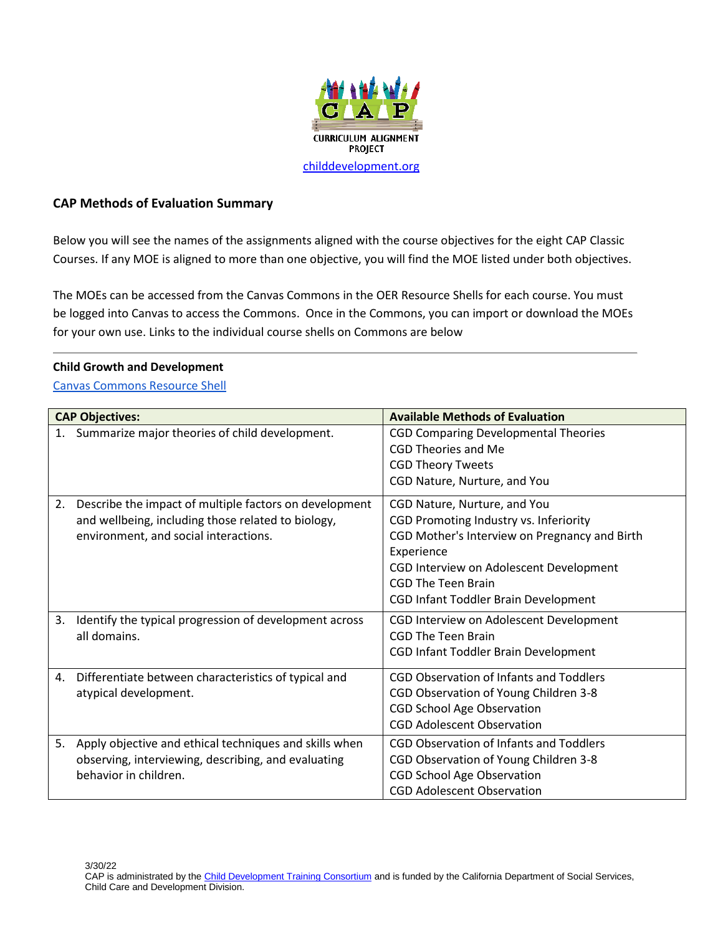

### **CAP Methods of Evaluation Summary**

Below you will see the names of the assignments aligned with the course objectives for the eight CAP Classic Courses. If any MOE is aligned to more than one objective, you will find the MOE listed under both objectives.

The MOEs can be accessed from the Canvas Commons in the OER Resource Shells for each course. You must be logged into Canvas to access the Commons. Once in the Commons, you can import or download the MOEs for your own use. Links to the individual course shells on Commons are below

#### **Child Growth and Development**

[Canvas Commons Resource Shell](https://lor.instructure.com/resources/f8337e8772314b1b953e2c06d8fc050a?shared)

| <b>CAP Objectives:</b>                                       | <b>Available Methods of Evaluation</b>         |
|--------------------------------------------------------------|------------------------------------------------|
| Summarize major theories of child development.<br>1.         | <b>CGD Comparing Developmental Theories</b>    |
|                                                              | <b>CGD Theories and Me</b>                     |
|                                                              | <b>CGD Theory Tweets</b>                       |
|                                                              | CGD Nature, Nurture, and You                   |
| 2.<br>Describe the impact of multiple factors on development | CGD Nature, Nurture, and You                   |
| and wellbeing, including those related to biology,           | CGD Promoting Industry vs. Inferiority         |
| environment, and social interactions.                        | CGD Mother's Interview on Pregnancy and Birth  |
|                                                              | Experience                                     |
|                                                              | CGD Interview on Adolescent Development        |
|                                                              | CGD The Teen Brain                             |
|                                                              | CGD Infant Toddler Brain Development           |
| 3.<br>Identify the typical progression of development across | CGD Interview on Adolescent Development        |
| all domains.                                                 | CGD The Teen Brain                             |
|                                                              | CGD Infant Toddler Brain Development           |
| Differentiate between characteristics of typical and<br>4.   | <b>CGD Observation of Infants and Toddlers</b> |
| atypical development.                                        | CGD Observation of Young Children 3-8          |
|                                                              | <b>CGD School Age Observation</b>              |
|                                                              | <b>CGD Adolescent Observation</b>              |
| Apply objective and ethical techniques and skills when<br>5. | <b>CGD Observation of Infants and Toddlers</b> |
| observing, interviewing, describing, and evaluating          | CGD Observation of Young Children 3-8          |
| behavior in children.                                        | <b>CGD School Age Observation</b>              |
|                                                              | <b>CGD Adolescent Observation</b>              |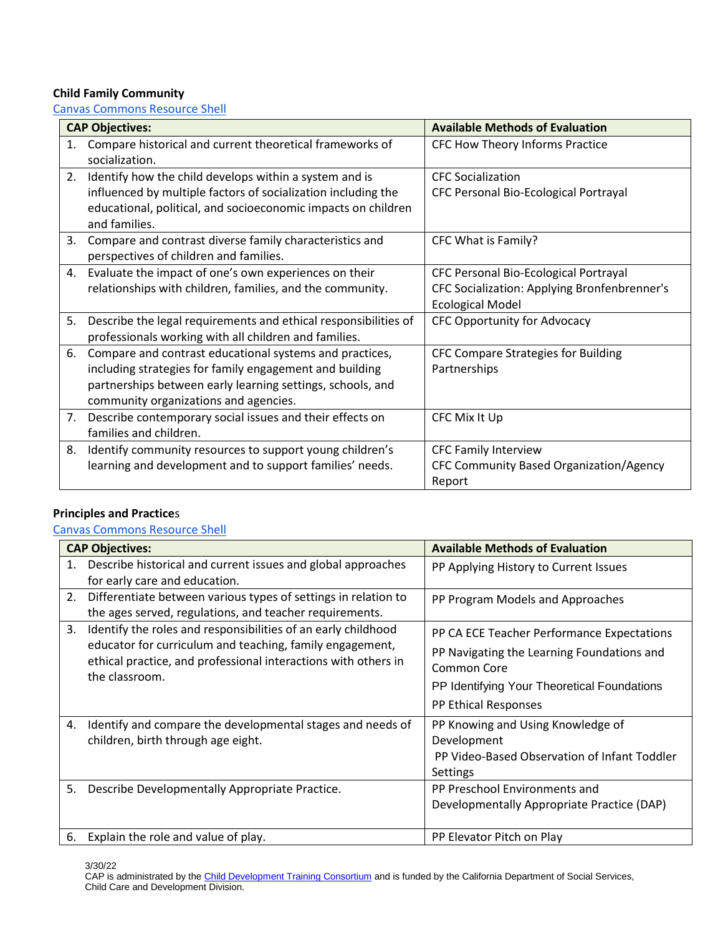# **Child Family Community**

[Canvas Commons Resource Shell](https://lor.instructure.com/resources/e7e79c5f37a444108c62c859420e6b83?shared)

|    | <b>CAP Objectives:</b>                                                                                                                                                                                                    | <b>Available Methods of Evaluation</b>                                                                           |
|----|---------------------------------------------------------------------------------------------------------------------------------------------------------------------------------------------------------------------------|------------------------------------------------------------------------------------------------------------------|
| 1. | Compare historical and current theoretical frameworks of<br>socialization.                                                                                                                                                | CFC How Theory Informs Practice                                                                                  |
| 2. | Identify how the child develops within a system and is<br>influenced by multiple factors of socialization including the<br>educational, political, and socioeconomic impacts on children<br>and families.                 | <b>CFC</b> Socialization<br>CFC Personal Bio-Ecological Portrayal                                                |
| 3. | Compare and contrast diverse family characteristics and<br>perspectives of children and families.                                                                                                                         | CFC What is Family?                                                                                              |
| 4. | Evaluate the impact of one's own experiences on their<br>relationships with children, families, and the community.                                                                                                        | CFC Personal Bio-Ecological Portrayal<br>CFC Socialization: Applying Bronfenbrenner's<br><b>Ecological Model</b> |
| 5. | Describe the legal requirements and ethical responsibilities of<br>professionals working with all children and families.                                                                                                  | CFC Opportunity for Advocacy                                                                                     |
| 6. | Compare and contrast educational systems and practices,<br>including strategies for family engagement and building<br>partnerships between early learning settings, schools, and<br>community organizations and agencies. | CFC Compare Strategies for Building<br>Partnerships                                                              |
|    | 7. Describe contemporary social issues and their effects on<br>families and children.                                                                                                                                     | CFC Mix It Up                                                                                                    |
| 8. | Identify community resources to support young children's<br>learning and development and to support families' needs.                                                                                                      | <b>CFC Family Interview</b><br>CFC Community Based Organization/Agency<br>Report                                 |

# **Principles and Practice**s

[Canvas Commons Resource Shell](https://lor.instructure.com/resources/0b59c2e20f3e48a1b75a710334ca1f8a?shared)

|    | <b>CAP Objectives:</b>                                                                                                                                                                                        | <b>Available Methods of Evaluation</b>                                                                                                                                         |
|----|---------------------------------------------------------------------------------------------------------------------------------------------------------------------------------------------------------------|--------------------------------------------------------------------------------------------------------------------------------------------------------------------------------|
| 1. | Describe historical and current issues and global approaches<br>for early care and education.                                                                                                                 | PP Applying History to Current Issues                                                                                                                                          |
|    | 2. Differentiate between various types of settings in relation to<br>the ages served, regulations, and teacher requirements.                                                                                  | PP Program Models and Approaches                                                                                                                                               |
| 3. | Identify the roles and responsibilities of an early childhood<br>educator for curriculum and teaching, family engagement,<br>ethical practice, and professional interactions with others in<br>the classroom. | PP CA ECE Teacher Performance Expectations<br>PP Navigating the Learning Foundations and<br>Common Core<br>PP Identifying Your Theoretical Foundations<br>PP Ethical Responses |
| 4. | Identify and compare the developmental stages and needs of<br>children, birth through age eight.                                                                                                              | PP Knowing and Using Knowledge of<br>Development<br>PP Video-Based Observation of Infant Toddler<br>Settings                                                                   |
| 5. | Describe Developmentally Appropriate Practice.                                                                                                                                                                | PP Preschool Environments and<br>Developmentally Appropriate Practice (DAP)                                                                                                    |
| 6. | Explain the role and value of play.                                                                                                                                                                           | PP Elevator Pitch on Play                                                                                                                                                      |

3/30/22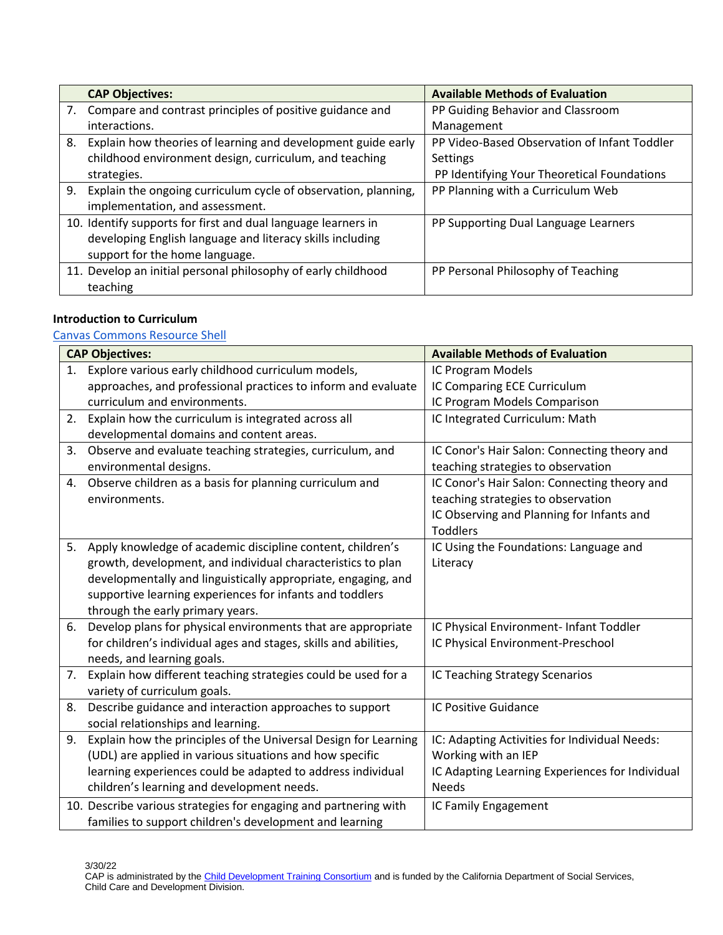|    | <b>CAP Objectives:</b>                                         | <b>Available Methods of Evaluation</b>       |
|----|----------------------------------------------------------------|----------------------------------------------|
| 7. | Compare and contrast principles of positive guidance and       | PP Guiding Behavior and Classroom            |
|    | interactions.                                                  | Management                                   |
| 8. | Explain how theories of learning and development guide early   | PP Video-Based Observation of Infant Toddler |
|    | childhood environment design, curriculum, and teaching         | Settings                                     |
|    | strategies.                                                    | PP Identifying Your Theoretical Foundations  |
| 9. | Explain the ongoing curriculum cycle of observation, planning, | PP Planning with a Curriculum Web            |
|    | implementation, and assessment.                                |                                              |
|    | 10. Identify supports for first and dual language learners in  | PP Supporting Dual Language Learners         |
|    | developing English language and literacy skills including      |                                              |
|    | support for the home language.                                 |                                              |
|    | 11. Develop an initial personal philosophy of early childhood  | PP Personal Philosophy of Teaching           |
|    | teaching                                                       |                                              |

### **Introduction to Curriculum**

## [Canvas Commons Resource Shell](https://lor.instructure.com/resources/814a281886d94ea1bebbd5ab779499e5?shared)

|    | <b>CAP Objectives:</b>                                           | <b>Available Methods of Evaluation</b>          |
|----|------------------------------------------------------------------|-------------------------------------------------|
| 1. | Explore various early childhood curriculum models,               | IC Program Models                               |
|    | approaches, and professional practices to inform and evaluate    | IC Comparing ECE Curriculum                     |
|    | curriculum and environments.                                     | IC Program Models Comparison                    |
|    | 2. Explain how the curriculum is integrated across all           | IC Integrated Curriculum: Math                  |
|    | developmental domains and content areas.                         |                                                 |
| 3. | Observe and evaluate teaching strategies, curriculum, and        | IC Conor's Hair Salon: Connecting theory and    |
|    | environmental designs.                                           | teaching strategies to observation              |
|    | 4. Observe children as a basis for planning curriculum and       | IC Conor's Hair Salon: Connecting theory and    |
|    | environments.                                                    | teaching strategies to observation              |
|    |                                                                  | IC Observing and Planning for Infants and       |
|    |                                                                  | <b>Toddlers</b>                                 |
| 5. | Apply knowledge of academic discipline content, children's       | IC Using the Foundations: Language and          |
|    | growth, development, and individual characteristics to plan      | Literacy                                        |
|    | developmentally and linguistically appropriate, engaging, and    |                                                 |
|    | supportive learning experiences for infants and toddlers         |                                                 |
|    | through the early primary years.                                 |                                                 |
| 6. | Develop plans for physical environments that are appropriate     | IC Physical Environment- Infant Toddler         |
|    | for children's individual ages and stages, skills and abilities, | IC Physical Environment-Preschool               |
|    | needs, and learning goals.                                       |                                                 |
| 7. | Explain how different teaching strategies could be used for a    | IC Teaching Strategy Scenarios                  |
|    | variety of curriculum goals.                                     |                                                 |
| 8. | Describe guidance and interaction approaches to support          | IC Positive Guidance                            |
|    | social relationships and learning.                               |                                                 |
| 9. | Explain how the principles of the Universal Design for Learning  | IC: Adapting Activities for Individual Needs:   |
|    | (UDL) are applied in various situations and how specific         | Working with an IEP                             |
|    | learning experiences could be adapted to address individual      | IC Adapting Learning Experiences for Individual |
|    | children's learning and development needs.                       | <b>Needs</b>                                    |
|    | 10. Describe various strategies for engaging and partnering with | IC Family Engagement                            |
|    | families to support children's development and learning          |                                                 |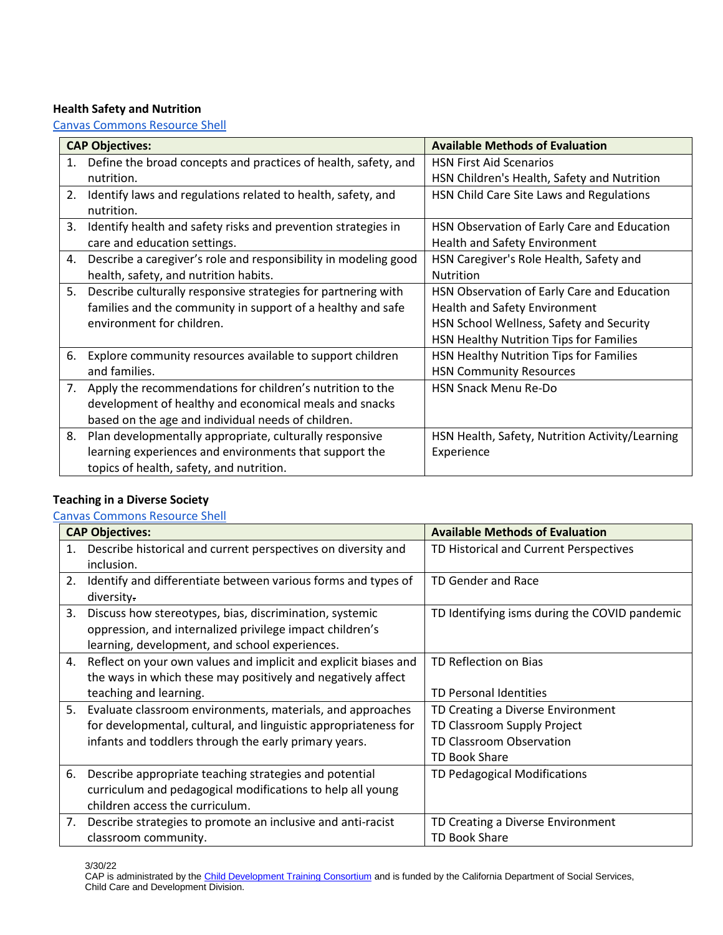# **Health Safety and Nutrition**

[Canvas Commons Resource Shell](https://lor.instructure.com/resources/96ed272e0605421ea4ce5f1c2c8168ec?shared)

|    | <b>CAP Objectives:</b>                                          | <b>Available Methods of Evaluation</b>          |
|----|-----------------------------------------------------------------|-------------------------------------------------|
| 1. | Define the broad concepts and practices of health, safety, and  | <b>HSN First Aid Scenarios</b>                  |
|    | nutrition.                                                      | HSN Children's Health, Safety and Nutrition     |
| 2. | Identify laws and regulations related to health, safety, and    | HSN Child Care Site Laws and Regulations        |
|    | nutrition.                                                      |                                                 |
| 3. | Identify health and safety risks and prevention strategies in   | HSN Observation of Early Care and Education     |
|    | care and education settings.                                    | Health and Safety Environment                   |
| 4. | Describe a caregiver's role and responsibility in modeling good | HSN Caregiver's Role Health, Safety and         |
|    | health, safety, and nutrition habits.                           | Nutrition                                       |
| 5. | Describe culturally responsive strategies for partnering with   | HSN Observation of Early Care and Education     |
|    | families and the community in support of a healthy and safe     | Health and Safety Environment                   |
|    | environment for children.                                       | HSN School Wellness, Safety and Security        |
|    |                                                                 | HSN Healthy Nutrition Tips for Families         |
| 6. | Explore community resources available to support children       | HSN Healthy Nutrition Tips for Families         |
|    | and families.                                                   | <b>HSN Community Resources</b>                  |
| 7. | Apply the recommendations for children's nutrition to the       | <b>HSN Snack Menu Re-Do</b>                     |
|    | development of healthy and economical meals and snacks          |                                                 |
|    | based on the age and individual needs of children.              |                                                 |
| 8. | Plan developmentally appropriate, culturally responsive         | HSN Health, Safety, Nutrition Activity/Learning |
|    | learning experiences and environments that support the          | Experience                                      |
|    | topics of health, safety, and nutrition.                        |                                                 |

## **Teaching in a Diverse Society**

#### [Canvas Commons Resource Shell](https://lor.instructure.com/resources/136cc34ecfe64737b652b5008c0f5288?shared)

|    | <b>CAP Objectives:</b>                                          | <b>Available Methods of Evaluation</b>        |
|----|-----------------------------------------------------------------|-----------------------------------------------|
| 1. | Describe historical and current perspectives on diversity and   | TD Historical and Current Perspectives        |
|    | inclusion.                                                      |                                               |
| 2. | Identify and differentiate between various forms and types of   | TD Gender and Race                            |
|    | diversity.                                                      |                                               |
| 3. | Discuss how stereotypes, bias, discrimination, systemic         | TD Identifying isms during the COVID pandemic |
|    | oppression, and internalized privilege impact children's        |                                               |
|    | learning, development, and school experiences.                  |                                               |
| 4. | Reflect on your own values and implicit and explicit biases and | TD Reflection on Bias                         |
|    | the ways in which these may positively and negatively affect    |                                               |
|    | teaching and learning.                                          | TD Personal Identities                        |
| 5. | Evaluate classroom environments, materials, and approaches      | TD Creating a Diverse Environment             |
|    | for developmental, cultural, and linguistic appropriateness for | TD Classroom Supply Project                   |
|    | infants and toddlers through the early primary years.           | TD Classroom Observation                      |
|    |                                                                 | <b>TD Book Share</b>                          |
| 6. | Describe appropriate teaching strategies and potential          | TD Pedagogical Modifications                  |
|    | curriculum and pedagogical modifications to help all young      |                                               |
|    | children access the curriculum.                                 |                                               |
| 7. | Describe strategies to promote an inclusive and anti-racist     | TD Creating a Diverse Environment             |
|    | classroom community.                                            | <b>TD Book Share</b>                          |

3/30/22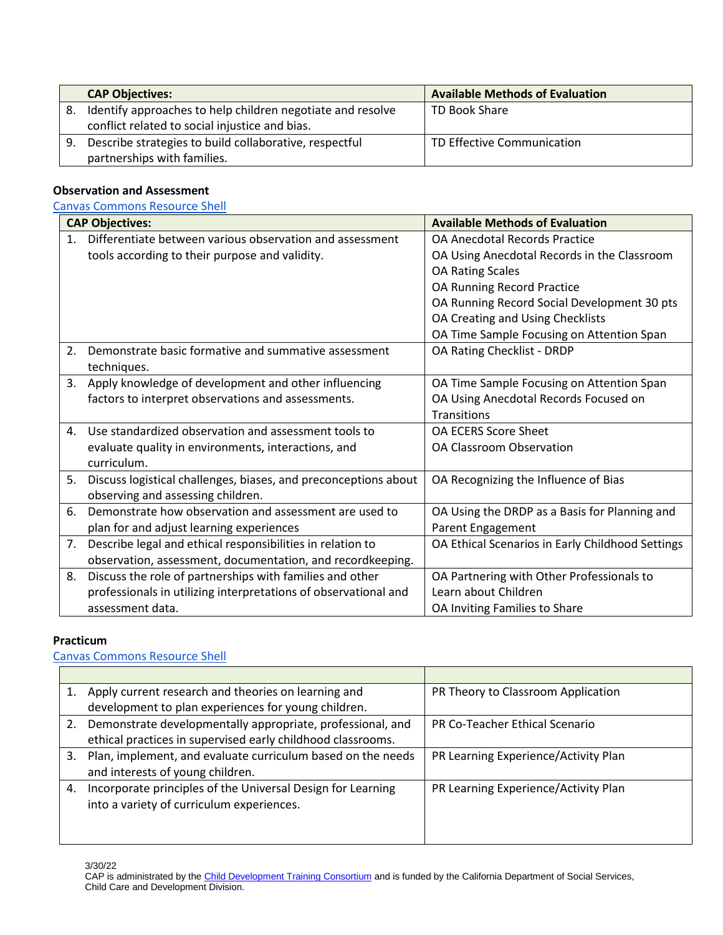|    | <b>CAP Objectives:</b>                                     | <b>Available Methods of Evaluation</b> |
|----|------------------------------------------------------------|----------------------------------------|
| 8. | Identify approaches to help children negotiate and resolve | TD Book Share                          |
|    | conflict related to social injustice and bias.             |                                        |
| 9. | Describe strategies to build collaborative, respectful     | TD Effective Communication             |
|    | partnerships with families.                                |                                        |

### **Observation and Assessment**

#### [Canvas Commons Resource Shell](https://lor.instructure.com/resources/6cd40297e74f4458a946edf5b7928155?shared)

|                | <b>CAP Objectives:</b>                                          | <b>Available Methods of Evaluation</b>           |
|----------------|-----------------------------------------------------------------|--------------------------------------------------|
| 1 <sub>1</sub> | Differentiate between various observation and assessment        | <b>OA Anecdotal Records Practice</b>             |
|                | tools according to their purpose and validity.                  | OA Using Anecdotal Records in the Classroom      |
|                |                                                                 | <b>OA Rating Scales</b>                          |
|                |                                                                 | OA Running Record Practice                       |
|                |                                                                 | OA Running Record Social Development 30 pts      |
|                |                                                                 | OA Creating and Using Checklists                 |
|                |                                                                 | OA Time Sample Focusing on Attention Span        |
| 2.             | Demonstrate basic formative and summative assessment            | OA Rating Checklist - DRDP                       |
|                | techniques.                                                     |                                                  |
| 3.             | Apply knowledge of development and other influencing            | OA Time Sample Focusing on Attention Span        |
|                | factors to interpret observations and assessments.              | OA Using Anecdotal Records Focused on            |
|                |                                                                 | <b>Transitions</b>                               |
| 4.             | Use standardized observation and assessment tools to            | OA ECERS Score Sheet                             |
|                | evaluate quality in environments, interactions, and             | <b>OA Classroom Observation</b>                  |
|                | curriculum.                                                     |                                                  |
| 5.             | Discuss logistical challenges, biases, and preconceptions about | OA Recognizing the Influence of Bias             |
|                | observing and assessing children.                               |                                                  |
| 6.             | Demonstrate how observation and assessment are used to          | OA Using the DRDP as a Basis for Planning and    |
|                | plan for and adjust learning experiences                        | Parent Engagement                                |
| 7.             | Describe legal and ethical responsibilities in relation to      | OA Ethical Scenarios in Early Childhood Settings |
|                | observation, assessment, documentation, and recordkeeping.      |                                                  |
| 8.             | Discuss the role of partnerships with families and other        | OA Partnering with Other Professionals to        |
|                | professionals in utilizing interpretations of observational and | Learn about Children                             |
|                | assessment data.                                                | OA Inviting Families to Share                    |

#### **Practicum**

[Canvas Commons Resource Shell](https://lor.instructure.com/resources/4f9a5dec31b84df5a37feecd4089ec65?shared)

|    | Apply current research and theories on learning and         | PR Theory to Classroom Application   |
|----|-------------------------------------------------------------|--------------------------------------|
|    | development to plan experiences for young children.         |                                      |
| 2. | Demonstrate developmentally appropriate, professional, and  | PR Co-Teacher Ethical Scenario       |
|    | ethical practices in supervised early childhood classrooms. |                                      |
| 3. | Plan, implement, and evaluate curriculum based on the needs | PR Learning Experience/Activity Plan |
|    | and interests of young children.                            |                                      |
| 4. | Incorporate principles of the Universal Design for Learning | PR Learning Experience/Activity Plan |
|    | into a variety of curriculum experiences.                   |                                      |
|    |                                                             |                                      |
|    |                                                             |                                      |

3/30/22

CAP is administrated by the [Child Development Training Consortium](https://www.childdevelopment.org/higher-ed-faculty/curriculum-alignment-project) and is funded by the California Department of Social Services, Child Care and Development Division.